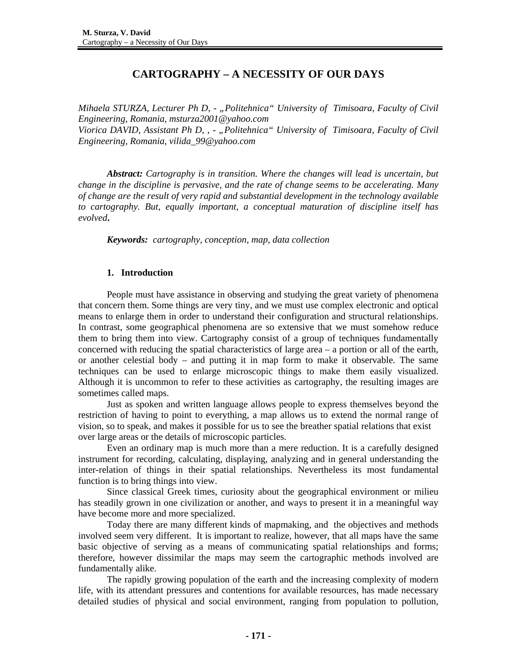# **CARTOGRAPHY – A NECESSITY OF OUR DAYS**

*Mihaela STURZA, Lecturer Ph D, - "Politehnica" University of Timisoara, Faculty of Civil Engineering, Romania, msturza2001@yahoo.com Viorica DAVID, Assistant Ph D, , - "Politehnica" University of Timisoara, Faculty of Civil Engineering, Romania, vilida\_99@yahoo.com* 

*Abstract: Cartography is in transition. Where the changes will lead is uncertain, but change in the discipline is pervasive, and the rate of change seems to be accelerating. Many of change are the result of very rapid and substantial development in the technology available to cartography. But, equally important, a conceptual maturation of discipline itself has evolved***.** 

*Keywords: cartography, conception, map, data collection* 

# **1. Introduction**

 People must have assistance in observing and studying the great variety of phenomena that concern them. Some things are very tiny, and we must use complex electronic and optical means to enlarge them in order to understand their configuration and structural relationships. In contrast, some geographical phenomena are so extensive that we must somehow reduce them to bring them into view. Cartography consist of a group of techniques fundamentally concerned with reducing the spatial characteristics of large area – a portion or all of the earth, or another celestial body – and putting it in map form to make it observable. The same techniques can be used to enlarge microscopic things to make them easily visualized. Although it is uncommon to refer to these activities as cartography, the resulting images are sometimes called maps.

 Just as spoken and written language allows people to express themselves beyond the restriction of having to point to everything, a map allows us to extend the normal range of vision, so to speak, and makes it possible for us to see the breather spatial relations that exist over large areas or the details of microscopic particles.

Even an ordinary map is much more than a mere reduction. It is a carefully designed instrument for recording, calculating, displaying, analyzing and in general understanding the inter-relation of things in their spatial relationships. Nevertheless its most fundamental function is to bring things into view.

Since classical Greek times, curiosity about the geographical environment or milieu has steadily grown in one civilization or another, and ways to present it in a meaningful way have become more and more specialized.

Today there are many different kinds of mapmaking, and the objectives and methods involved seem very different. It is important to realize, however, that all maps have the same basic objective of serving as a means of communicating spatial relationships and forms; therefore, however dissimilar the maps may seem the cartographic methods involved are fundamentally alike.

The rapidly growing population of the earth and the increasing complexity of modern life, with its attendant pressures and contentions for available resources, has made necessary detailed studies of physical and social environment, ranging from population to pollution,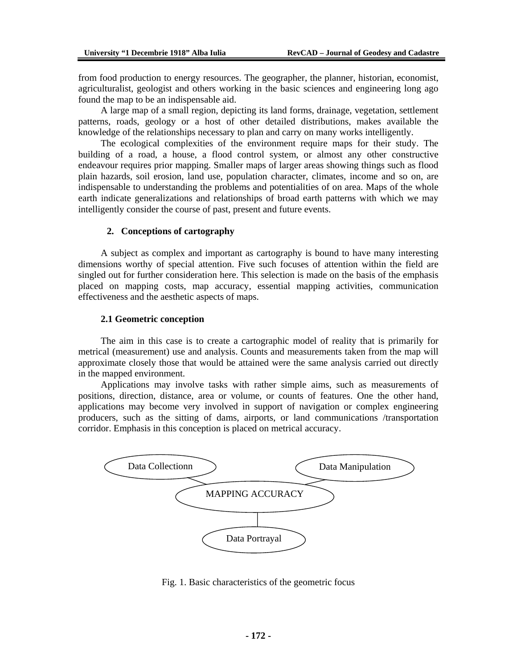from food production to energy resources. The geographer, the planner, historian, economist, agriculturalist, geologist and others working in the basic sciences and engineering long ago found the map to be an indispensable aid.

 A large map of a small region, depicting its land forms, drainage, vegetation, settlement patterns, roads, geology or a host of other detailed distributions, makes available the knowledge of the relationships necessary to plan and carry on many works intelligently.

 The ecological complexities of the environment require maps for their study. The building of a road, a house, a flood control system, or almost any other constructive endeavour requires prior mapping. Smaller maps of larger areas showing things such as flood plain hazards, soil erosion, land use, population character, climates, income and so on, are indispensable to understanding the problems and potentialities of on area. Maps of the whole earth indicate generalizations and relationships of broad earth patterns with which we may intelligently consider the course of past, present and future events.

#### **2. Conceptions of cartography**

 A subject as complex and important as cartography is bound to have many interesting dimensions worthy of special attention. Five such focuses of attention within the field are singled out for further consideration here. This selection is made on the basis of the emphasis placed on mapping costs, map accuracy, essential mapping activities, communication effectiveness and the aesthetic aspects of maps.

#### **2.1 Geometric conception**

 The aim in this case is to create a cartographic model of reality that is primarily for metrical (measurement) use and analysis. Counts and measurements taken from the map will approximate closely those that would be attained were the same analysis carried out directly in the mapped environment.

 Applications may involve tasks with rather simple aims, such as measurements of positions, direction, distance, area or volume, or counts of features. One the other hand, applications may become very involved in support of navigation or complex engineering producers, such as the sitting of dams, airports, or land communications /transportation corridor. Emphasis in this conception is placed on metrical accuracy.



Fig. 1. Basic characteristics of the geometric focus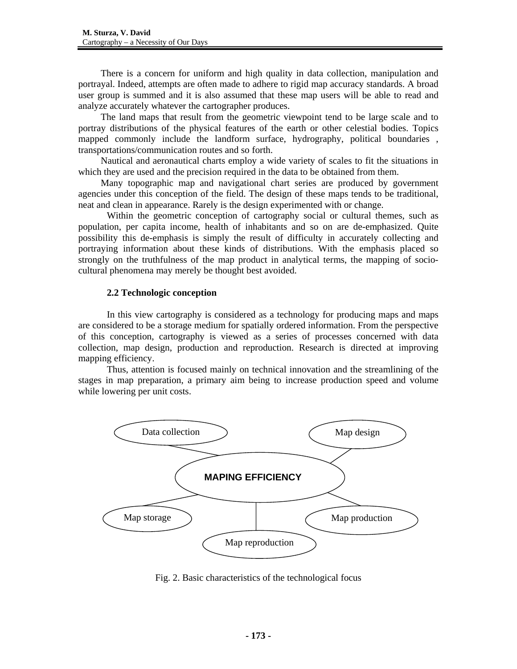There is a concern for uniform and high quality in data collection, manipulation and portrayal. Indeed, attempts are often made to adhere to rigid map accuracy standards. A broad user group is summed and it is also assumed that these map users will be able to read and analyze accurately whatever the cartographer produces.

 The land maps that result from the geometric viewpoint tend to be large scale and to portray distributions of the physical features of the earth or other celestial bodies. Topics mapped commonly include the landform surface, hydrography, political boundaries , transportations/communication routes and so forth.

 Nautical and aeronautical charts employ a wide variety of scales to fit the situations in which they are used and the precision required in the data to be obtained from them.

 Many topographic map and navigational chart series are produced by government agencies under this conception of the field. The design of these maps tends to be traditional, neat and clean in appearance. Rarely is the design experimented with or change.

Within the geometric conception of cartography social or cultural themes, such as population, per capita income, health of inhabitants and so on are de-emphasized. Quite possibility this de-emphasis is simply the result of difficulty in accurately collecting and portraying information about these kinds of distributions. With the emphasis placed so strongly on the truthfulness of the map product in analytical terms, the mapping of sociocultural phenomena may merely be thought best avoided.

## **2.2 Technologic conception**

In this view cartography is considered as a technology for producing maps and maps are considered to be a storage medium for spatially ordered information. From the perspective of this conception, cartography is viewed as a series of processes concerned with data collection, map design, production and reproduction. Research is directed at improving mapping efficiency.

Thus, attention is focused mainly on technical innovation and the streamlining of the stages in map preparation, a primary aim being to increase production speed and volume while lowering per unit costs.



Fig. 2. Basic characteristics of the technological focus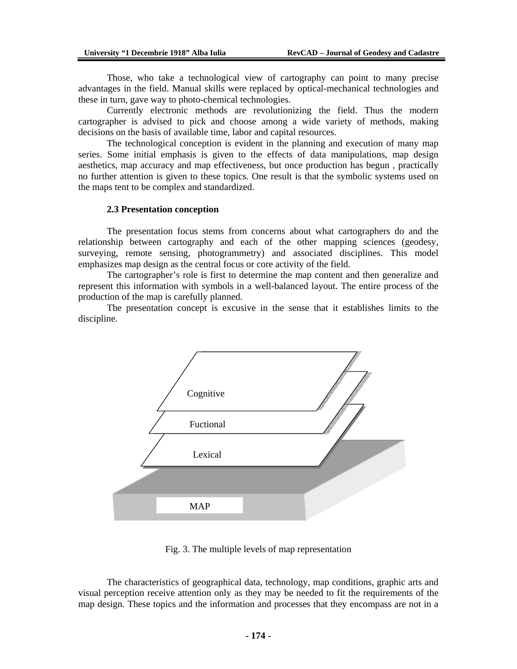Those, who take a technological view of cartography can point to many precise advantages in the field. Manual skills were replaced by optical-mechanical technologies and these in turn, gave way to photo-chemical technologies.

Currently electronic methods are revolutionizing the field. Thus the modern cartographer is advised to pick and choose among a wide variety of methods, making decisions on the basis of available time, labor and capital resources.

The technological conception is evident in the planning and execution of many map series. Some initial emphasis is given to the effects of data manipulations, map design aesthetics, map accuracy and map effectiveness, but once production has begun , practically no further attention is given to these topics. One result is that the symbolic systems used on the maps tent to be complex and standardized.

#### **2.3 Presentation conception**

The presentation focus stems from concerns about what cartographers do and the relationship between cartography and each of the other mapping sciences (geodesy, surveying, remote sensing, photogrammetry) and associated disciplines. This model emphasizes map design as the central focus or core activity of the field.

The cartographer's role is first to determine the map content and then generalize and represent this information with symbols in a well-balanced layout. The entire process of the production of the map is carefully planned.

The presentation concept is excusive in the sense that it establishes limits to the discipline.



Fig. 3. The multiple levels of map representation

The characteristics of geographical data, technology, map conditions, graphic arts and visual perception receive attention only as they may be needed to fit the requirements of the map design. These topics and the information and processes that they encompass are not in a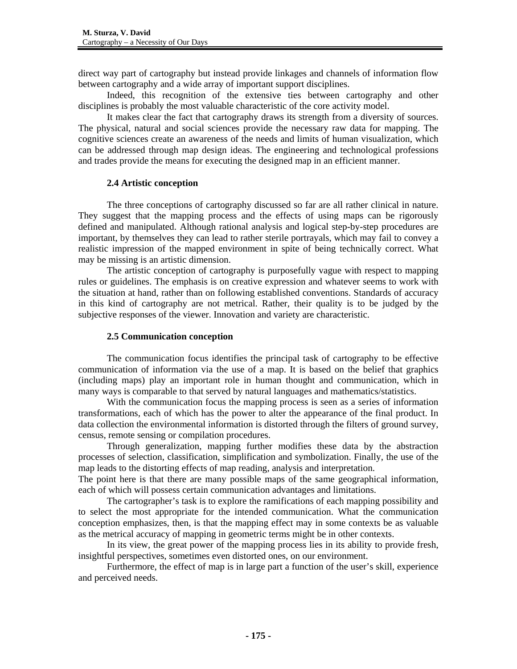direct way part of cartography but instead provide linkages and channels of information flow between cartography and a wide array of important support disciplines.

Indeed, this recognition of the extensive ties between cartography and other disciplines is probably the most valuable characteristic of the core activity model.

It makes clear the fact that cartography draws its strength from a diversity of sources. The physical, natural and social sciences provide the necessary raw data for mapping. The cognitive sciences create an awareness of the needs and limits of human visualization, which can be addressed through map design ideas. The engineering and technological professions and trades provide the means for executing the designed map in an efficient manner.

# **2.4 Artistic conception**

The three conceptions of cartography discussed so far are all rather clinical in nature. They suggest that the mapping process and the effects of using maps can be rigorously defined and manipulated. Although rational analysis and logical step-by-step procedures are important, by themselves they can lead to rather sterile portrayals, which may fail to convey a realistic impression of the mapped environment in spite of being technically correct. What may be missing is an artistic dimension.

The artistic conception of cartography is purposefully vague with respect to mapping rules or guidelines. The emphasis is on creative expression and whatever seems to work with the situation at hand, rather than on following established conventions. Standards of accuracy in this kind of cartography are not metrical. Rather, their quality is to be judged by the subjective responses of the viewer. Innovation and variety are characteristic.

### **2.5 Communication conception**

The communication focus identifies the principal task of cartography to be effective communication of information via the use of a map. It is based on the belief that graphics (including maps) play an important role in human thought and communication, which in many ways is comparable to that served by natural languages and mathematics/statistics.

With the communication focus the mapping process is seen as a series of information transformations, each of which has the power to alter the appearance of the final product. In data collection the environmental information is distorted through the filters of ground survey, census, remote sensing or compilation procedures.

Through generalization, mapping further modifies these data by the abstraction processes of selection, classification, simplification and symbolization. Finally, the use of the map leads to the distorting effects of map reading, analysis and interpretation.

The point here is that there are many possible maps of the same geographical information, each of which will possess certain communication advantages and limitations.

The cartographer's task is to explore the ramifications of each mapping possibility and to select the most appropriate for the intended communication. What the communication conception emphasizes, then, is that the mapping effect may in some contexts be as valuable as the metrical accuracy of mapping in geometric terms might be in other contexts.

In its view, the great power of the mapping process lies in its ability to provide fresh, insightful perspectives, sometimes even distorted ones, on our environment.

Furthermore, the effect of map is in large part a function of the user's skill, experience and perceived needs.